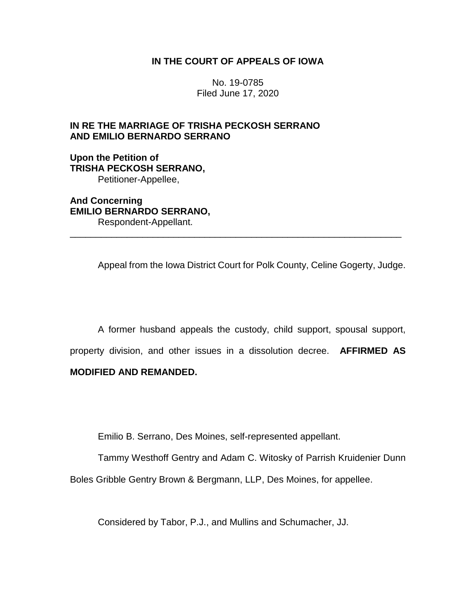## **IN THE COURT OF APPEALS OF IOWA**

No. 19-0785 Filed June 17, 2020

## **IN RE THE MARRIAGE OF TRISHA PECKOSH SERRANO AND EMILIO BERNARDO SERRANO**

**Upon the Petition of TRISHA PECKOSH SERRANO,** Petitioner-Appellee,

**And Concerning EMILIO BERNARDO SERRANO,** Respondent-Appellant.

Appeal from the Iowa District Court for Polk County, Celine Gogerty, Judge.

\_\_\_\_\_\_\_\_\_\_\_\_\_\_\_\_\_\_\_\_\_\_\_\_\_\_\_\_\_\_\_\_\_\_\_\_\_\_\_\_\_\_\_\_\_\_\_\_\_\_\_\_\_\_\_\_\_\_\_\_\_\_\_\_

A former husband appeals the custody, child support, spousal support, property division, and other issues in a dissolution decree. **AFFIRMED AS** 

## **MODIFIED AND REMANDED.**

Emilio B. Serrano, Des Moines, self-represented appellant.

Tammy Westhoff Gentry and Adam C. Witosky of Parrish Kruidenier Dunn

Boles Gribble Gentry Brown & Bergmann, LLP, Des Moines, for appellee.

Considered by Tabor, P.J., and Mullins and Schumacher, JJ.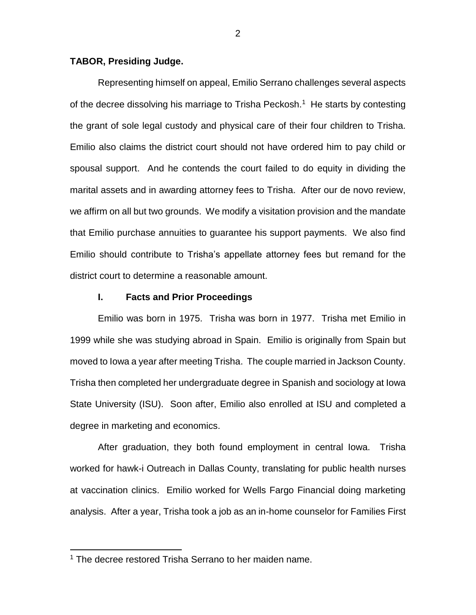## **TABOR, Presiding Judge.**

Representing himself on appeal, Emilio Serrano challenges several aspects of the decree dissolving his marriage to Trisha Peckosh.<sup>1</sup> He starts by contesting the grant of sole legal custody and physical care of their four children to Trisha. Emilio also claims the district court should not have ordered him to pay child or spousal support. And he contends the court failed to do equity in dividing the marital assets and in awarding attorney fees to Trisha. After our de novo review, we affirm on all but two grounds. We modify a visitation provision and the mandate that Emilio purchase annuities to guarantee his support payments. We also find Emilio should contribute to Trisha's appellate attorney fees but remand for the district court to determine a reasonable amount.

### **I. Facts and Prior Proceedings**

Emilio was born in 1975. Trisha was born in 1977. Trisha met Emilio in 1999 while she was studying abroad in Spain. Emilio is originally from Spain but moved to Iowa a year after meeting Trisha. The couple married in Jackson County. Trisha then completed her undergraduate degree in Spanish and sociology at Iowa State University (ISU). Soon after, Emilio also enrolled at ISU and completed a degree in marketing and economics.

After graduation, they both found employment in central Iowa. Trisha worked for hawk-i Outreach in Dallas County, translating for public health nurses at vaccination clinics. Emilio worked for Wells Fargo Financial doing marketing analysis. After a year, Trisha took a job as an in-home counselor for Families First

 $\overline{a}$ 

<sup>&</sup>lt;sup>1</sup> The decree restored Trisha Serrano to her maiden name.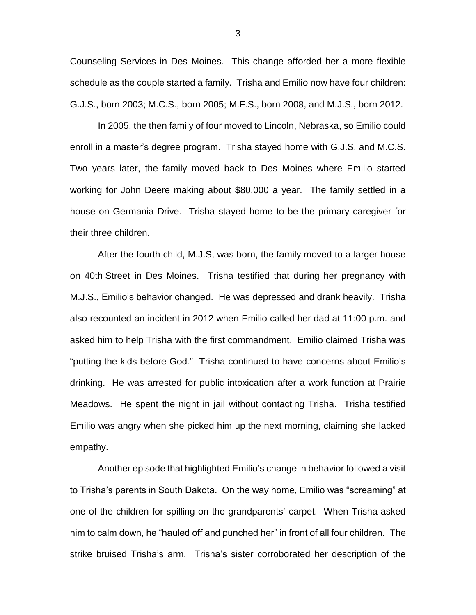Counseling Services in Des Moines. This change afforded her a more flexible schedule as the couple started a family. Trisha and Emilio now have four children: G.J.S., born 2003; M.C.S., born 2005; M.F.S., born 2008, and M.J.S., born 2012.

In 2005, the then family of four moved to Lincoln, Nebraska, so Emilio could enroll in a master's degree program. Trisha stayed home with G.J.S. and M.C.S. Two years later, the family moved back to Des Moines where Emilio started working for John Deere making about \$80,000 a year. The family settled in a house on Germania Drive. Trisha stayed home to be the primary caregiver for their three children.

After the fourth child, M.J.S, was born, the family moved to a larger house on 40th Street in Des Moines. Trisha testified that during her pregnancy with M.J.S., Emilio's behavior changed. He was depressed and drank heavily. Trisha also recounted an incident in 2012 when Emilio called her dad at 11:00 p.m. and asked him to help Trisha with the first commandment. Emilio claimed Trisha was "putting the kids before God." Trisha continued to have concerns about Emilio's drinking. He was arrested for public intoxication after a work function at Prairie Meadows. He spent the night in jail without contacting Trisha. Trisha testified Emilio was angry when she picked him up the next morning, claiming she lacked empathy.

Another episode that highlighted Emilio's change in behavior followed a visit to Trisha's parents in South Dakota. On the way home, Emilio was "screaming" at one of the children for spilling on the grandparents' carpet. When Trisha asked him to calm down, he "hauled off and punched her" in front of all four children. The strike bruised Trisha's arm. Trisha's sister corroborated her description of the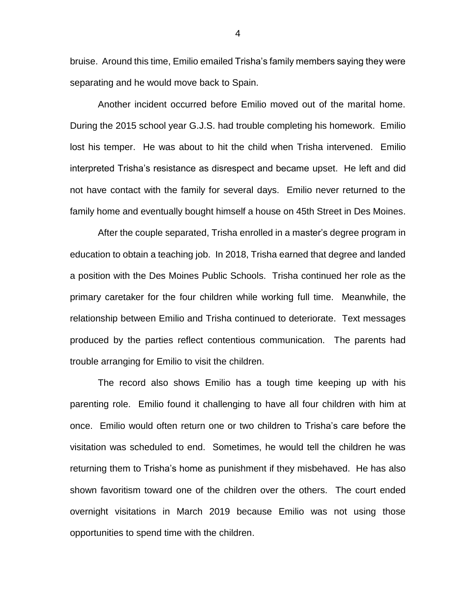bruise. Around this time, Emilio emailed Trisha's family members saying they were separating and he would move back to Spain.

Another incident occurred before Emilio moved out of the marital home. During the 2015 school year G.J.S. had trouble completing his homework. Emilio lost his temper. He was about to hit the child when Trisha intervened. Emilio interpreted Trisha's resistance as disrespect and became upset. He left and did not have contact with the family for several days. Emilio never returned to the family home and eventually bought himself a house on 45th Street in Des Moines.

After the couple separated, Trisha enrolled in a master's degree program in education to obtain a teaching job. In 2018, Trisha earned that degree and landed a position with the Des Moines Public Schools. Trisha continued her role as the primary caretaker for the four children while working full time. Meanwhile, the relationship between Emilio and Trisha continued to deteriorate. Text messages produced by the parties reflect contentious communication. The parents had trouble arranging for Emilio to visit the children.

The record also shows Emilio has a tough time keeping up with his parenting role. Emilio found it challenging to have all four children with him at once. Emilio would often return one or two children to Trisha's care before the visitation was scheduled to end. Sometimes, he would tell the children he was returning them to Trisha's home as punishment if they misbehaved. He has also shown favoritism toward one of the children over the others. The court ended overnight visitations in March 2019 because Emilio was not using those opportunities to spend time with the children.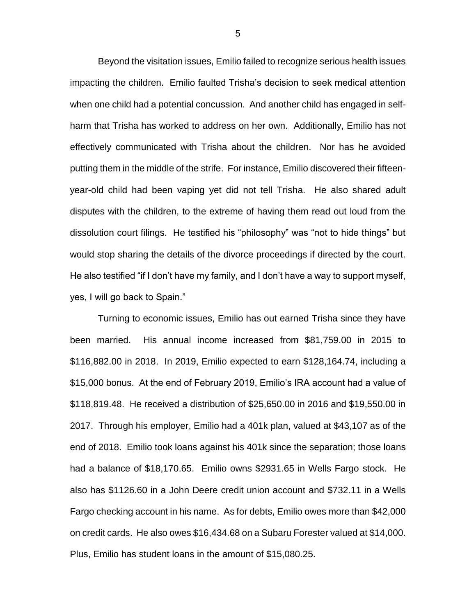Beyond the visitation issues, Emilio failed to recognize serious health issues impacting the children. Emilio faulted Trisha's decision to seek medical attention when one child had a potential concussion. And another child has engaged in selfharm that Trisha has worked to address on her own. Additionally, Emilio has not effectively communicated with Trisha about the children. Nor has he avoided putting them in the middle of the strife. For instance, Emilio discovered their fifteenyear-old child had been vaping yet did not tell Trisha. He also shared adult disputes with the children, to the extreme of having them read out loud from the dissolution court filings. He testified his "philosophy" was "not to hide things" but would stop sharing the details of the divorce proceedings if directed by the court. He also testified "if I don't have my family, and I don't have a way to support myself, yes, I will go back to Spain."

Turning to economic issues, Emilio has out earned Trisha since they have been married. His annual income increased from \$81,759.00 in 2015 to \$116,882.00 in 2018. In 2019, Emilio expected to earn \$128,164.74, including a \$15,000 bonus. At the end of February 2019, Emilio's IRA account had a value of \$118,819.48. He received a distribution of \$25,650.00 in 2016 and \$19,550.00 in 2017. Through his employer, Emilio had a 401k plan, valued at \$43,107 as of the end of 2018. Emilio took loans against his 401k since the separation; those loans had a balance of \$18,170.65. Emilio owns \$2931.65 in Wells Fargo stock. He also has \$1126.60 in a John Deere credit union account and \$732.11 in a Wells Fargo checking account in his name. As for debts, Emilio owes more than \$42,000 on credit cards. He also owes \$16,434.68 on a Subaru Forester valued at \$14,000. Plus, Emilio has student loans in the amount of \$15,080.25.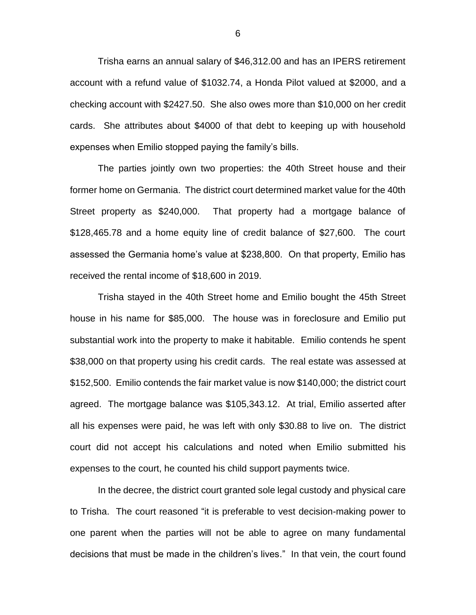Trisha earns an annual salary of \$46,312.00 and has an IPERS retirement account with a refund value of \$1032.74, a Honda Pilot valued at \$2000, and a checking account with \$2427.50. She also owes more than \$10,000 on her credit cards. She attributes about \$4000 of that debt to keeping up with household expenses when Emilio stopped paying the family's bills.

The parties jointly own two properties: the 40th Street house and their former home on Germania. The district court determined market value for the 40th Street property as \$240,000. That property had a mortgage balance of \$128,465.78 and a home equity line of credit balance of \$27,600. The court assessed the Germania home's value at \$238,800. On that property, Emilio has received the rental income of \$18,600 in 2019.

Trisha stayed in the 40th Street home and Emilio bought the 45th Street house in his name for \$85,000. The house was in foreclosure and Emilio put substantial work into the property to make it habitable. Emilio contends he spent \$38,000 on that property using his credit cards. The real estate was assessed at \$152,500. Emilio contends the fair market value is now \$140,000; the district court agreed. The mortgage balance was \$105,343.12. At trial, Emilio asserted after all his expenses were paid, he was left with only \$30.88 to live on. The district court did not accept his calculations and noted when Emilio submitted his expenses to the court, he counted his child support payments twice.

In the decree, the district court granted sole legal custody and physical care to Trisha. The court reasoned "it is preferable to vest decision-making power to one parent when the parties will not be able to agree on many fundamental decisions that must be made in the children's lives." In that vein, the court found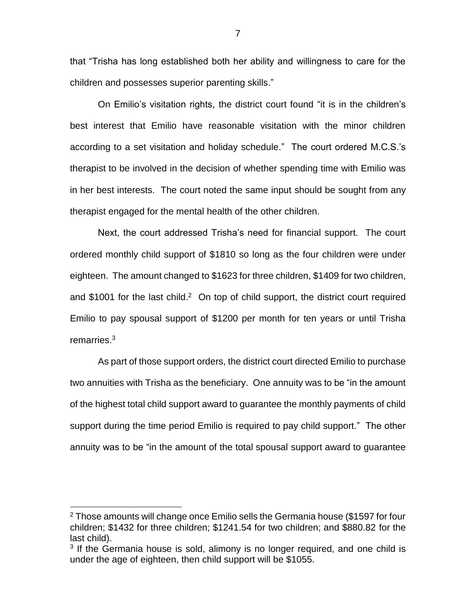that "Trisha has long established both her ability and willingness to care for the children and possesses superior parenting skills."

On Emilio's visitation rights, the district court found "it is in the children's best interest that Emilio have reasonable visitation with the minor children according to a set visitation and holiday schedule." The court ordered M.C.S.'s therapist to be involved in the decision of whether spending time with Emilio was in her best interests. The court noted the same input should be sought from any therapist engaged for the mental health of the other children.

Next, the court addressed Trisha's need for financial support. The court ordered monthly child support of \$1810 so long as the four children were under eighteen. The amount changed to \$1623 for three children, \$1409 for two children, and \$1001 for the last child.<sup>2</sup> On top of child support, the district court required Emilio to pay spousal support of \$1200 per month for ten years or until Trisha remarries. 3

As part of those support orders, the district court directed Emilio to purchase two annuities with Trisha as the beneficiary. One annuity was to be "in the amount of the highest total child support award to guarantee the monthly payments of child support during the time period Emilio is required to pay child support." The other annuity was to be "in the amount of the total spousal support award to guarantee

 $\overline{a}$ 

 $2$  Those amounts will change once Emilio sells the Germania house (\$1597 for four children; \$1432 for three children; \$1241.54 for two children; and \$880.82 for the last child).

<sup>&</sup>lt;sup>3</sup> If the Germania house is sold, alimony is no longer required, and one child is under the age of eighteen, then child support will be \$1055.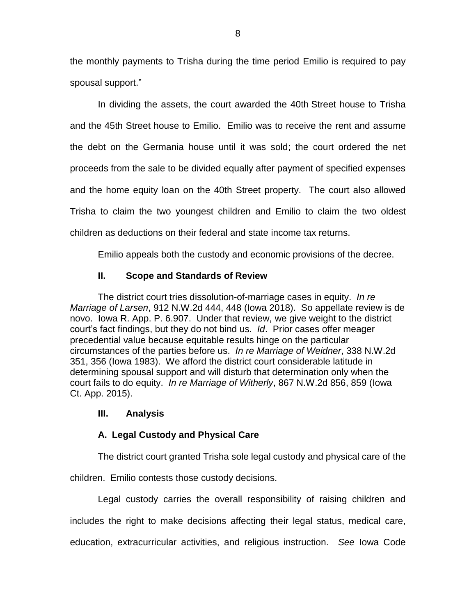the monthly payments to Trisha during the time period Emilio is required to pay spousal support."

In dividing the assets, the court awarded the 40th Street house to Trisha and the 45th Street house to Emilio. Emilio was to receive the rent and assume the debt on the Germania house until it was sold; the court ordered the net proceeds from the sale to be divided equally after payment of specified expenses and the home equity loan on the 40th Street property. The court also allowed Trisha to claim the two youngest children and Emilio to claim the two oldest children as deductions on their federal and state income tax returns.

Emilio appeals both the custody and economic provisions of the decree.

# **II. Scope and Standards of Review**

The district court tries dissolution-of-marriage cases in equity. *In re Marriage of Larsen*, 912 N.W.2d 444, 448 (Iowa 2018). So appellate review is de novo. Iowa R. App. P. 6.907. Under that review, we give weight to the district court's fact findings, but they do not bind us. *Id*. Prior cases offer meager precedential value because equitable results hinge on the particular circumstances of the parties before us. *In re Marriage of Weidner*, 338 N.W.2d 351, 356 (Iowa 1983). We afford the district court considerable latitude in determining spousal support and will disturb that determination only when the court fails to do equity. *In re Marriage of Witherly*, 867 N.W.2d 856, 859 (Iowa Ct. App. 2015).

# **III. Analysis**

# **A. Legal Custody and Physical Care**

The district court granted Trisha sole legal custody and physical care of the

children. Emilio contests those custody decisions.

Legal custody carries the overall responsibility of raising children and includes the right to make decisions affecting their legal status, medical care, education, extracurricular activities, and religious instruction. *See* Iowa Code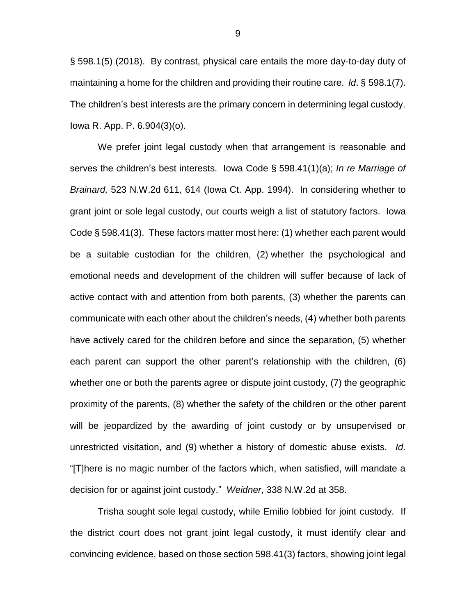§ 598.1(5) (2018). By contrast, physical care entails the more day-to-day duty of maintaining a home for the children and providing their routine care. *Id*. § 598.1(7). The children's best interests are the primary concern in determining legal custody. Iowa R. App. P. 6.904(3)(o).

We prefer joint legal custody when that arrangement is reasonable and serves the children's best interests. Iowa Code § 598.41(1)(a); *In re Marriage of Brainard,* 523 N.W.2d 611, 614 (Iowa Ct. App. 1994). In considering whether to grant joint or sole legal custody, our courts weigh a list of statutory factors. Iowa Code § 598.41(3). These factors matter most here: (1) whether each parent would be a suitable custodian for the children, (2) whether the psychological and emotional needs and development of the children will suffer because of lack of active contact with and attention from both parents, (3) whether the parents can communicate with each other about the children's needs, (4) whether both parents have actively cared for the children before and since the separation, (5) whether each parent can support the other parent's relationship with the children, (6) whether one or both the parents agree or dispute joint custody, (7) the geographic proximity of the parents, (8) whether the safety of the children or the other parent will be jeopardized by the awarding of joint custody or by unsupervised or unrestricted visitation, and (9) whether a history of domestic abuse exists. *Id*. "[T]here is no magic number of the factors which, when satisfied, will mandate a decision for or against joint custody." *Weidner*, 338 N.W.2d at 358.

Trisha sought sole legal custody, while Emilio lobbied for joint custody. If the district court does not grant joint legal custody, it must identify clear and convincing evidence, based on those section 598.41(3) factors, showing joint legal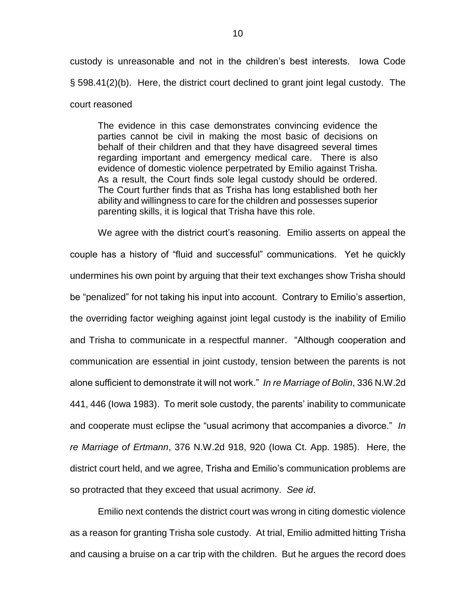custody is unreasonable and not in the children's best interests. Iowa Code § 598.41(2)(b). Here, the district court declined to grant joint legal custody. The court reasoned

The evidence in this case demonstrates convincing evidence the parties cannot be civil in making the most basic of decisions on behalf of their children and that they have disagreed several times regarding important and emergency medical care. There is also evidence of domestic violence perpetrated by Emilio against Trisha. As a result, the Court finds sole legal custody should be ordered. The Court further finds that as Trisha has long established both her ability and willingness to care for the children and possesses superior parenting skills, it is logical that Trisha have this role.

We agree with the district court's reasoning. Emilio asserts on appeal the couple has a history of "fluid and successful" communications. Yet he quickly undermines his own point by arguing that their text exchanges show Trisha should be "penalized" for not taking his input into account. Contrary to Emilio's assertion, the overriding factor weighing against joint legal custody is the inability of Emilio and Trisha to communicate in a respectful manner. "Although cooperation and communication are essential in joint custody, tension between the parents is not alone sufficient to demonstrate it will not work." *In re Marriage of Bolin*, 336 N.W.2d 441, 446 (Iowa 1983). To merit sole custody, the parents' inability to communicate and cooperate must eclipse the "usual acrimony that accompanies a divorce." *In re Marriage of Ertmann*, 376 N.W.2d 918, 920 (Iowa Ct. App. 1985). Here, the district court held, and we agree, Trisha and Emilio's communication problems are so protracted that they exceed that usual acrimony. *See id*.

Emilio next contends the district court was wrong in citing domestic violence as a reason for granting Trisha sole custody. At trial, Emilio admitted hitting Trisha and causing a bruise on a car trip with the children. But he argues the record does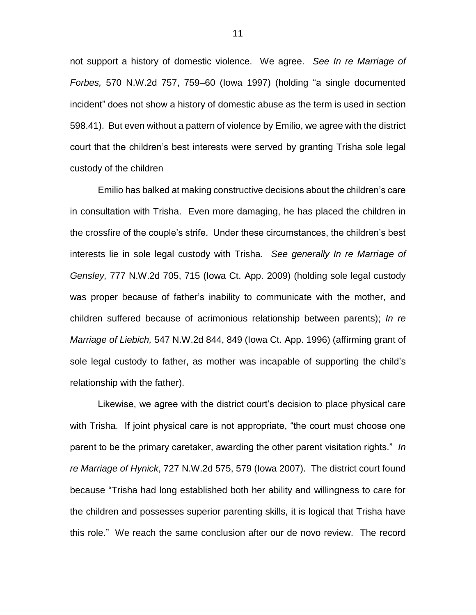not support a history of domestic violence. We agree. *See In re Marriage of Forbes,* 570 N.W.2d 757, 759–60 (Iowa 1997) (holding "a single documented incident" does not show a history of domestic abuse as the term is used in section 598.41). But even without a pattern of violence by Emilio, we agree with the district court that the children's best interests were served by granting Trisha sole legal custody of the children

Emilio has balked at making constructive decisions about the children's care in consultation with Trisha. Even more damaging, he has placed the children in the crossfire of the couple's strife. Under these circumstances, the children's best interests lie in sole legal custody with Trisha. *See generally In re Marriage of Gensley,* 777 N.W.2d 705, 715 (Iowa Ct. App. 2009) (holding sole legal custody was proper because of father's inability to communicate with the mother, and children suffered because of acrimonious relationship between parents); *In re Marriage of Liebich,* 547 N.W.2d 844, 849 (Iowa Ct. App. 1996) (affirming grant of sole legal custody to father, as mother was incapable of supporting the child's relationship with the father).

Likewise, we agree with the district court's decision to place physical care with Trisha. If joint physical care is not appropriate, "the court must choose one parent to be the primary caretaker, awarding the other parent visitation rights." *In re Marriage of Hynick*, 727 N.W.2d 575, 579 (Iowa 2007). The district court found because "Trisha had long established both her ability and willingness to care for the children and possesses superior parenting skills, it is logical that Trisha have this role." We reach the same conclusion after our de novo review. The record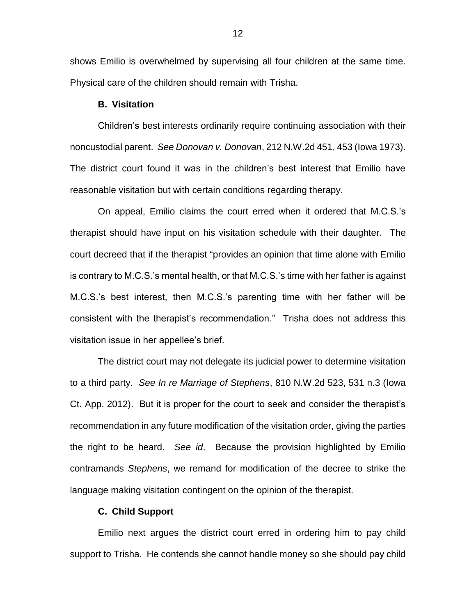shows Emilio is overwhelmed by supervising all four children at the same time. Physical care of the children should remain with Trisha.

#### **B. Visitation**

Children's best interests ordinarily require continuing association with their noncustodial parent. *See Donovan v. Donovan*, 212 N.W.2d 451, 453 (Iowa 1973). The district court found it was in the children's best interest that Emilio have reasonable visitation but with certain conditions regarding therapy.

On appeal, Emilio claims the court erred when it ordered that M.C.S.'s therapist should have input on his visitation schedule with their daughter. The court decreed that if the therapist "provides an opinion that time alone with Emilio is contrary to M.C.S.'s mental health, or that M.C.S.'s time with her father is against M.C.S.'s best interest, then M.C.S.'s parenting time with her father will be consistent with the therapist's recommendation." Trisha does not address this visitation issue in her appellee's brief.

The district court may not delegate its judicial power to determine visitation to a third party. *See In re Marriage of Stephens*, 810 N.W.2d 523, 531 n.3 (Iowa Ct. App. 2012). But it is proper for the court to seek and consider the therapist's recommendation in any future modification of the visitation order, giving the parties the right to be heard. *See id*. Because the provision highlighted by Emilio contramands *Stephens*, we remand for modification of the decree to strike the language making visitation contingent on the opinion of the therapist.

## **C. Child Support**

Emilio next argues the district court erred in ordering him to pay child support to Trisha. He contends she cannot handle money so she should pay child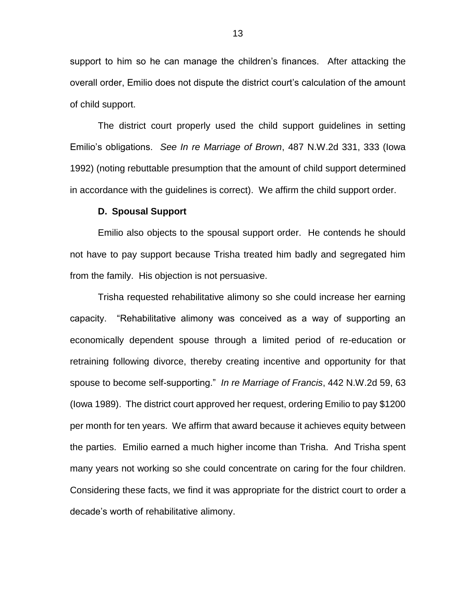support to him so he can manage the children's finances. After attacking the overall order, Emilio does not dispute the district court's calculation of the amount of child support.

The district court properly used the child support guidelines in setting Emilio's obligations. *See In re Marriage of Brown*, 487 N.W.2d 331, 333 (Iowa 1992) (noting rebuttable presumption that the amount of child support determined in accordance with the guidelines is correct). We affirm the child support order.

#### **D. Spousal Support**

Emilio also objects to the spousal support order. He contends he should not have to pay support because Trisha treated him badly and segregated him from the family. His objection is not persuasive.

Trisha requested rehabilitative alimony so she could increase her earning capacity. "Rehabilitative alimony was conceived as a way of supporting an economically dependent spouse through a limited period of re-education or retraining following divorce, thereby creating incentive and opportunity for that spouse to become self-supporting." *In re Marriage of Francis*, 442 N.W.2d 59, 63 (Iowa 1989). The district court approved her request, ordering Emilio to pay \$1200 per month for ten years. We affirm that award because it achieves equity between the parties. Emilio earned a much higher income than Trisha. And Trisha spent many years not working so she could concentrate on caring for the four children. Considering these facts, we find it was appropriate for the district court to order a decade's worth of rehabilitative alimony.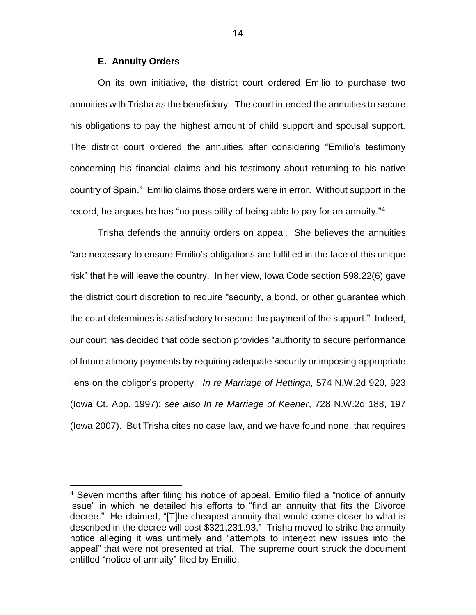## **E. Annuity Orders**

 $\overline{a}$ 

On its own initiative, the district court ordered Emilio to purchase two annuities with Trisha as the beneficiary. The court intended the annuities to secure his obligations to pay the highest amount of child support and spousal support. The district court ordered the annuities after considering "Emilio's testimony concerning his financial claims and his testimony about returning to his native country of Spain." Emilio claims those orders were in error. Without support in the record, he argues he has "no possibility of being able to pay for an annuity."<sup>4</sup>

Trisha defends the annuity orders on appeal. She believes the annuities "are necessary to ensure Emilio's obligations are fulfilled in the face of this unique risk" that he will leave the country. In her view, Iowa Code section 598.22(6) gave the district court discretion to require "security, a bond, or other guarantee which the court determines is satisfactory to secure the payment of the support." Indeed, our court has decided that code section provides "authority to secure performance of future alimony payments by requiring adequate security or imposing appropriate liens on the obligor's property. *In re Marriage of Hettinga*, 574 N.W.2d 920, 923 (Iowa Ct. App. 1997); *see also In re Marriage of Keener*, 728 N.W.2d 188, 197 (Iowa 2007). But Trisha cites no case law, and we have found none, that requires

<sup>4</sup> Seven months after filing his notice of appeal, Emilio filed a "notice of annuity issue" in which he detailed his efforts to "find an annuity that fits the Divorce decree." He claimed, "[T]he cheapest annuity that would come closer to what is described in the decree will cost \$321,231.93." Trisha moved to strike the annuity notice alleging it was untimely and "attempts to interject new issues into the appeal" that were not presented at trial. The supreme court struck the document entitled "notice of annuity" filed by Emilio.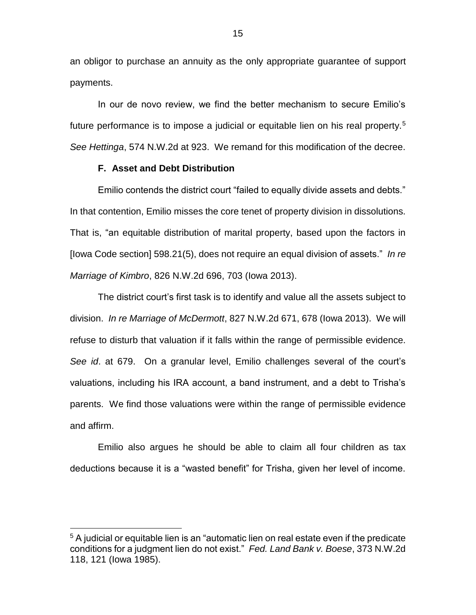an obligor to purchase an annuity as the only appropriate guarantee of support payments.

In our de novo review, we find the better mechanism to secure Emilio's future performance is to impose a judicial or equitable lien on his real property.<sup>5</sup> *See Hettinga*, 574 N.W.2d at 923. We remand for this modification of the decree.

### **F. Asset and Debt Distribution**

 $\overline{a}$ 

Emilio contends the district court "failed to equally divide assets and debts." In that contention, Emilio misses the core tenet of property division in dissolutions. That is, "an equitable distribution of marital property, based upon the factors in [Iowa Code section] 598.21(5), does not require an equal division of assets." *In re Marriage of Kimbro*, 826 N.W.2d 696, 703 (Iowa 2013).

The district court's first task is to identify and value all the assets subject to division. *In re Marriage of McDermott*, 827 N.W.2d 671, 678 (Iowa 2013). We will refuse to disturb that valuation if it falls within the range of permissible evidence. *See id*. at 679. On a granular level, Emilio challenges several of the court's valuations, including his IRA account, a band instrument, and a debt to Trisha's parents. We find those valuations were within the range of permissible evidence and affirm.

Emilio also argues he should be able to claim all four children as tax deductions because it is a "wasted benefit" for Trisha, given her level of income.

<sup>&</sup>lt;sup>5</sup> A judicial or equitable lien is an "automatic lien on real estate even if the predicate conditions for a judgment lien do not exist." *Fed. Land Bank v. Boese*, 373 N.W.2d 118, 121 (Iowa 1985).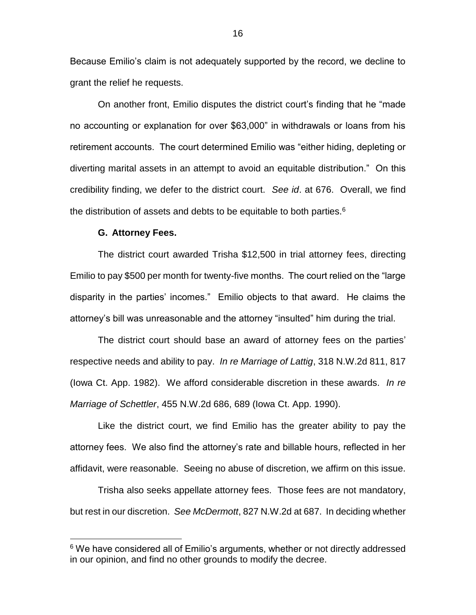Because Emilio's claim is not adequately supported by the record, we decline to grant the relief he requests.

On another front, Emilio disputes the district court's finding that he "made no accounting or explanation for over \$63,000" in withdrawals or loans from his retirement accounts. The court determined Emilio was "either hiding, depleting or diverting marital assets in an attempt to avoid an equitable distribution." On this credibility finding, we defer to the district court. *See id*. at 676. Overall, we find the distribution of assets and debts to be equitable to both parties. $6$ 

#### **G. Attorney Fees.**

 $\overline{a}$ 

The district court awarded Trisha \$12,500 in trial attorney fees, directing Emilio to pay \$500 per month for twenty-five months. The court relied on the "large disparity in the parties' incomes." Emilio objects to that award. He claims the attorney's bill was unreasonable and the attorney "insulted" him during the trial.

The district court should base an award of attorney fees on the parties' respective needs and ability to pay. *In re Marriage of Lattig*, 318 N.W.2d 811, 817 (Iowa Ct. App. 1982). We afford considerable discretion in these awards. *In re Marriage of Schettler*, 455 N.W.2d 686, 689 (Iowa Ct. App. 1990).

Like the district court, we find Emilio has the greater ability to pay the attorney fees. We also find the attorney's rate and billable hours, reflected in her affidavit, were reasonable. Seeing no abuse of discretion, we affirm on this issue.

Trisha also seeks appellate attorney fees. Those fees are not mandatory, but rest in our discretion. *See McDermott*, 827 N.W.2d at 687. In deciding whether

 $6$  We have considered all of Emilio's arguments, whether or not directly addressed in our opinion, and find no other grounds to modify the decree.